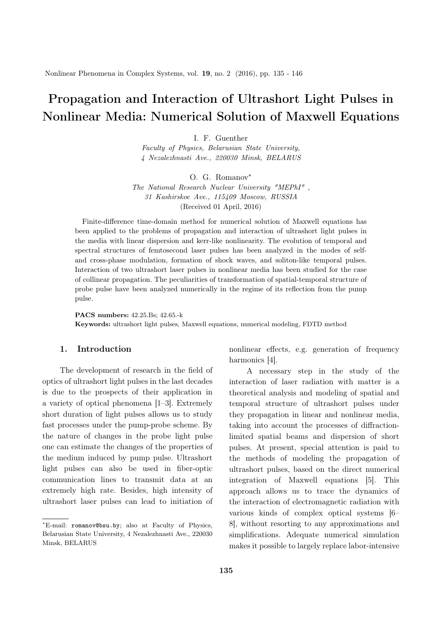# Propagation and Interaction of Ultrashort Light Pulses in Nonlinear Media: Numerical Solution of Maxwell Equations

I. F. Guenther

*Faculty of Physics, Belarusian State University, 4 Nezalezhnasti Ave., 220030 Minsk, BELARUS*

O. G. Romanov*∗*

*The National Research Nuclear University "MEPhI" , 31 Kashirskoe Ave., 115409 Moscow, RUSSIA* (Received 01 April, 2016)

Finite-difference time-domain method for numerical solution of Maxwell equations has been applied to the problems of propagation and interaction of ultrashort light pulses in the media with linear dispersion and kerr-like nonlinearity. The evolution of temporal and spectral structures of femtosecond laser pulses has been analyzed in the modes of selfand cross-phase modulation, formation of shock waves, and soliton-like temporal pulses. Interaction of two ultrashort laser pulses in nonlinear media has been studied for the case of collinear propagation. The peculiarities of transformation of spatial-temporal structure of probe pulse have been analyzed numerically in the regime of its reflection from the pump pulse.

PACS numbers: 42.25.Bs; 42.65.-k Keywords: ultrashort light pulses, Maxwell equations, numerical modeling, FDTD method

## 1. Introduction

The development of research in the field of optics of ultrashort light pulses in the last decades is due to the prospects of their application in a variety of optical phenomena [1–3]. Extremely short duration of light pulses allows us to study fast processes under the pump-probe scheme. By the nature of changes in the probe light pulse one can estimate the changes of the properties of the medium induced by pump pulse. Ultrashort light pulses can also be used in fiber-optic communication lines to transmit data at an extremely high rate. Besides, high intensity of ultrashort laser pulses can lead to initiation of nonlinear effects, e.g. generation of frequency harmonics [4].

A necessary step in the study of the interaction of laser radiation with matter is a theoretical analysis and modeling of spatial and temporal structure of ultrashort pulses under they propagation in linear and nonlinear media, taking into account the processes of diffractionlimited spatial beams and dispersion of short pulses. At present, special attention is paid to the methods of modeling the propagation of ultrashort pulses, based on the direct numerical integration of Maxwell equations [5]. This approach allows us to trace the dynamics of the interaction of electromagnetic radiation with various kinds of complex optical systems [6– 8], without resorting to any approximations and simplifications. Adequate numerical simulation makes it possible to largely replace labor-intensive

*<sup>∗</sup>*E-mail: romanov@bsu.by; also at Faculty of Physics, Belarusian State University, 4 Nezalezhnasti Ave., 220030 Minsk, BELARUS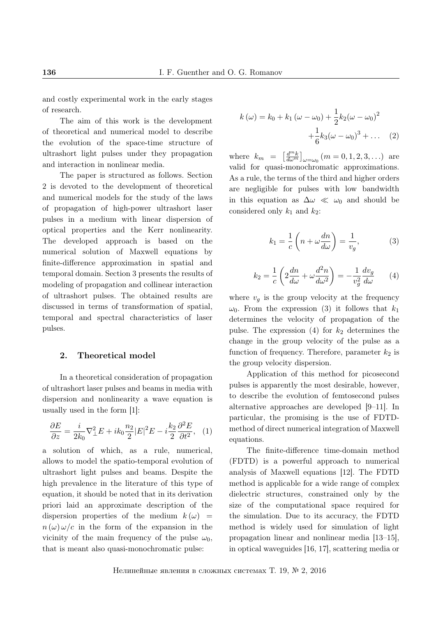and costly experimental work in the early stages of research.

The aim of this work is the development of theoretical and numerical model to describe the evolution of the space-time structure of ultrashort light pulses under they propagation and interaction in nonlinear media.

The paper is structured as follows. Section 2 is devoted to the development of theoretical and numerical models for the study of the laws of propagation of high-power ultrashort laser pulses in a medium with linear dispersion of optical properties and the Kerr nonlinearity. The developed approach is based on the numerical solution of Maxwell equations by finite-difference approximation in spatial and temporal domain. Section 3 presents the results of modeling of propagation and collinear interaction of ultrashort pulses. The obtained results are discussed in terms of transformation of spatial, temporal and spectral characteristics of laser pulses.

### 2. Theoretical model

In a theoretical consideration of propagation of ultrashort laser pulses and beams in media with dispersion and nonlinearity a wave equation is usually used in the form [1]:

$$
\frac{\partial E}{\partial z} = \frac{i}{2k_0} \nabla_{\perp}^2 E + ik_0 \frac{n_2}{2} |E|^2 E - i \frac{k_2}{2} \frac{\partial^2 E}{\partial t^2}, \quad (1)
$$

a solution of which, as a rule, numerical, allows to model the spatio-temporal evolution of ultrashort light pulses and beams. Despite the high prevalence in the literature of this type of equation, it should be noted that in its derivation priori laid an approximate description of the dispersion properties of the medium  $k(\omega)$  =  $n(\omega)\omega/c$  in the form of the expansion in the vicinity of the main frequency of the pulse  $\omega_0$ , that is meant also quasi-monochromatic pulse:

$$
k(\omega) = k_0 + k_1 (\omega - \omega_0) + \frac{1}{2} k_2 (\omega - \omega_0)^2 + \frac{1}{6} k_3 (\omega - \omega_0)^3 + \dots
$$
 (2)

where  $k_m = \left[\frac{d^m k}{d\omega^m}\right]$  $\left[\frac{d^{m}k}{d\omega^{m}}\right]_{\omega=\omega_{0}}(m=0,1,2,3,...)$  are valid for quasi-monochromatic approximations. As a rule, the terms of the third and higher orders are negligible for pulses with low bandwidth in this equation as  $\Delta \omega \ll \omega_0$  and should be considered only  $k_1$  and  $k_2$ :

$$
k_1 = \frac{1}{c} \left( n + \omega \frac{dn}{d\omega} \right) = \frac{1}{v_g},\tag{3}
$$

$$
k_2 = \frac{1}{c} \left( 2\frac{dn}{d\omega} + \omega \frac{d^2n}{d\omega^2} \right) = -\frac{1}{v_g^2} \frac{dv_g}{d\omega} \qquad (4)
$$

where  $v_q$  is the group velocity at the frequency  $ω_0$ . From the expression (3) it follows that  $k_1$ determines the velocity of propagation of the pulse. The expression  $(4)$  for  $k_2$  determines the change in the group velocity of the pulse as a function of frequency. Therefore, parameter  $k_2$  is the group velocity dispersion.

Application of this method for picosecond pulses is apparently the most desirable, however, to describe the evolution of femtosecond pulses alternative approaches are developed [9–11]. In particular, the promising is the use of FDTDmethod of direct numerical integration of Maxwell equations.

The finite-difference time-domain method (FDTD) is a powerful approach to numerical analysis of Maxwell equations [12]. The FDTD method is applicable for a wide range of complex dielectric structures, constrained only by the size of the computational space required for the simulation. Due to its accuracy, the FDTD method is widely used for simulation of light propagation linear and nonlinear media [13–15], in optical waveguides [16, 17], scattering media or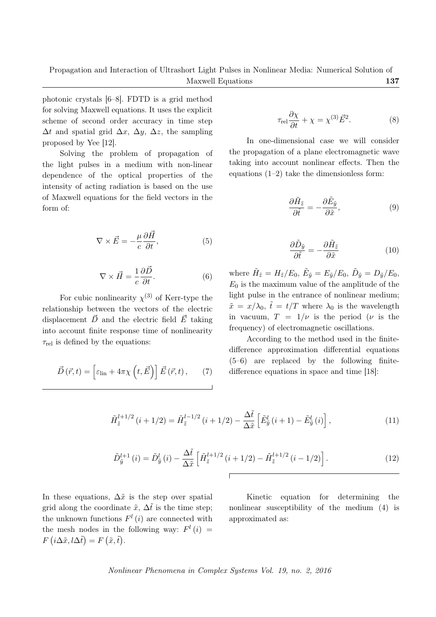photonic crystals [6–8]. FDTD is a grid method for solving Maxwell equations. It uses the explicit scheme of second order accuracy in time step  $\Delta t$  and spatial grid  $\Delta x$ ,  $\Delta y$ ,  $\Delta z$ , the sampling proposed by Yee [12].

Solving the problem of propagation of the light pulses in a medium with non-linear dependence of the optical properties of the intensity of acting radiation is based on the use of Maxwell equations for the field vectors in the form of:

$$
\nabla \times \vec{E} = -\frac{\mu}{c} \frac{\partial \vec{H}}{\partial t},\tag{5}
$$

$$
\nabla \times \vec{H} = \frac{1}{c} \frac{\partial \vec{D}}{\partial t}.
$$
 (6)

For cubic nonlinearity  $\chi^{(3)}$  of Kerr-type the relationship between the vectors of the electric displacement  $\vec{D}$  and the electric field  $\vec{E}$  taking into account finite response time of nonlinearity  $\tau_{rel}$  is defined by the equations:

$$
\vec{D}(\vec{r},t) = \left[\varepsilon_{\text{lin}} + 4\pi\chi\left(t,\vec{E}\right)\right]\vec{E}(\vec{r},t),\qquad(7)
$$

$$
\tau_{\rm rel} \frac{\partial \chi}{\partial t} + \chi = \chi^{(3)} \vec{E}^2.
$$
 (8)

In one-dimensional case we will consider the propagation of a plane electromagnetic wave taking into account nonlinear effects. Then the equations  $(1-2)$  take the dimensionless form:

$$
\frac{\partial \tilde{H}_{\tilde{z}}}{\partial \tilde{t}} = -\frac{\partial \tilde{E}_{\tilde{y}}}{\partial \tilde{x}},\tag{9}
$$

$$
\frac{\partial \tilde{D}_{\tilde{y}}}{\partial \tilde{t}} = -\frac{\partial \tilde{H}_{\tilde{z}}}{\partial \tilde{x}} \tag{10}
$$

where  $\tilde{H}_{\tilde{z}} = H_{\tilde{z}}/E_0$ ,  $\tilde{E}_{\tilde{y}} = E_{\tilde{y}}/E_0$ ,  $\tilde{D}_{\tilde{y}} = D_{\tilde{y}}/E_0$ ,  $E_0$  is the maximum value of the amplitude of the light pulse in the entrance of nonlinear medium;  $\tilde{x} = x/\lambda_0$ ,  $\tilde{t} = t/T$  where  $\lambda_0$  is the wavelength in vacuum,  $T = 1/\nu$  is the period ( $\nu$  is the frequency) of electromagnetic oscillations.

According to the method used in the finitedifference approximation differential equations (5–6) are replaced by the following finitedifference equations in space and time [18]:

$$
\tilde{H}^{l+1/2}_{\tilde{z}}(i+1/2) = \tilde{H}^{l-1/2}_{\tilde{z}}(i+1/2) - \frac{\Delta \tilde{t}}{\Delta \tilde{x}} \left[ \tilde{E}^l_{\tilde{y}}(i+1) - \tilde{E}^l_{\tilde{y}}(i) \right],
$$
\n(11)

$$
\tilde{D}_{\tilde{y}}^{l+1}(i) = \tilde{D}_{\tilde{y}}^{l}(i) - \frac{\Delta \tilde{t}}{\Delta \tilde{x}} \left[ \tilde{H}_{\tilde{z}}^{l+1/2} (i+1/2) - \tilde{H}_{\tilde{z}}^{l+1/2} (i-1/2) \right]. \tag{12}
$$

In these equations,  $\Delta \tilde{x}$  is the step over spatial grid along the coordinate  $\tilde{x}$ ,  $\Delta \tilde{t}$  is the time step; the unknown functions  $F^l(i)$  are connected with the mesh nodes in the following way:  $F^l(i)$  =  $F(i\Delta \tilde{x}, l\Delta \tilde{t}) = F(\tilde{x}, \tilde{t}).$ 

Kinetic equation for determining the nonlinear susceptibility of the medium (4) is approximated as: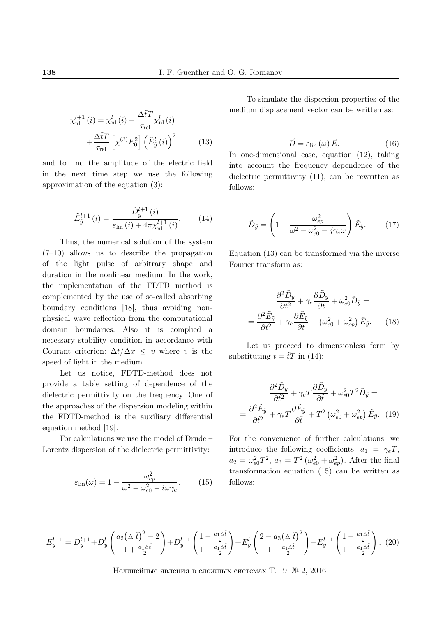$$
\chi_{\rm nl}^{l+1}(i) = \chi_{\rm nl}^{l}(i) - \frac{\Delta \tilde{t} T}{\tau_{\rm rel}} \chi_{\rm nl}^{l}(i) + \frac{\Delta \tilde{t} T}{\tau_{\rm rel}} \left[ \chi^{(3)} E_0^2 \right] \left( \tilde{E}_{\tilde{y}}^{l}(i) \right)^2 \tag{13}
$$

and to find the amplitude of the electric field in the next time step we use the following approximation of the equation (3):

$$
\tilde{E}_{\tilde{y}}^{l+1}(i) = \frac{\tilde{D}_{\tilde{y}}^{l+1}(i)}{\varepsilon_{\text{lin}}(i) + 4\pi \chi_{\text{nl}}^{l+1}(i)}.
$$
 (14)

Thus, the numerical solution of the system (7–10) allows us to describe the propagation of the light pulse of arbitrary shape and duration in the nonlinear medium. In the work, the implementation of the FDTD method is complemented by the use of so-called absorbing boundary conditions [18], thus avoiding nonphysical wave reflection from the computational domain boundaries. Also it is complied a necessary stability condition in accordance with Courant criterion:  $\Delta t / \Delta x \leq v$  where *v* is the speed of light in the medium.

Let us notice, FDTD-method does not provide a table setting of dependence of the dielectric permittivity on the frequency. One of the approaches of the dispersion modeling within the FDTD-method is the auxiliary differential equation method [19].

For calculations we use the model of Drude – Lorentz dispersion of the dielectric permittivity:

$$
\varepsilon_{\rm lin}(\omega) = 1 - \frac{\omega_{ep}^2}{\omega^2 - \omega_{e0}^2 - i\omega\gamma_e}.
$$
 (15)

To simulate the dispersion properties of the medium displacement vector can be written as:

$$
\vec{D} = \varepsilon_{\text{lin}}\left(\omega\right)\vec{E}.\tag{16}
$$

In one-dimensional case, equation (12), taking into account the frequency dependence of the dielectric permittivity (11), can be rewritten as follows:

$$
\tilde{D}_{\tilde{y}} = \left(1 - \frac{\omega_{ep}^2}{\omega^2 - \omega_{e0}^2 - j\gamma_e\omega}\right)\tilde{E}_{\tilde{y}}.
$$
 (17)

Equation (13) can be transformed via the inverse Fourier transform as:

$$
\frac{\partial^2 \tilde{D}_{\tilde{y}}}{\partial t^2} + \gamma_e \frac{\partial \tilde{D}_{\tilde{y}}}{\partial t} + \omega_{e0}^2 \tilde{D}_{\tilde{y}} =
$$

$$
= \frac{\partial^2 \tilde{E}_{\tilde{y}}}{\partial t^2} + \gamma_e \frac{\partial \tilde{E}_{\tilde{y}}}{\partial t} + (\omega_{e0}^2 + \omega_{ep}^2) \tilde{E}_{\tilde{y}}.
$$
(18)

Let us proceed to dimensionless form by substituting  $t = \tilde{t}T$  in (14):

$$
\frac{\partial^2 \tilde{D}_{\tilde{y}}}{\partial \tilde{t}^2} + \gamma_e T \frac{\partial \tilde{D}_{\tilde{y}}}{\partial \tilde{t}} + \omega_{e0}^2 T^2 \tilde{D}_{\tilde{y}} =
$$

$$
= \frac{\partial^2 \tilde{E}_{\tilde{y}}}{\partial \tilde{t}^2} + \gamma_e T \frac{\partial \tilde{E}_{\tilde{y}}}{\partial \tilde{t}} + T^2 \left(\omega_{e0}^2 + \omega_{ep}^2\right) \tilde{E}_{\tilde{y}}.
$$
 (19)

For the convenience of further calculations, we introduce the following coefficients:  $a_1 = \gamma_e T$ ,  $a_2 = \omega_{e0}^2 T^2$ ,  $a_3 = T^2 (\omega_{e0}^2 + \omega_{ep}^2)$ . After the final transformation equation (15) can be written as follows:

$$
E_{y}^{l+1} = D_{y}^{l+1} + D_{y}^{l} \left( \frac{a_{2}(\Delta \tilde{t})^{2} - 2}{1 + \frac{a_{1}\Delta\tilde{t}}{2}} \right) + D_{y}^{l-1} \left( \frac{1 - \frac{a_{1}\Delta\tilde{t}}{2}}{1 + \frac{a_{1}\Delta\tilde{t}}{2}} \right) + E_{y}^{l} \left( \frac{2 - a_{3}(\Delta \tilde{t})^{2}}{1 + \frac{a_{1}\Delta\tilde{t}}{2}} \right) - E_{y}^{l+1} \left( \frac{1 - \frac{a_{1}\Delta\tilde{t}}{2}}{1 + \frac{a_{1}\Delta\tilde{t}}{2}} \right). (20)
$$

=

Нелинейные явления в сложных системах Т. 19, № 2, 2016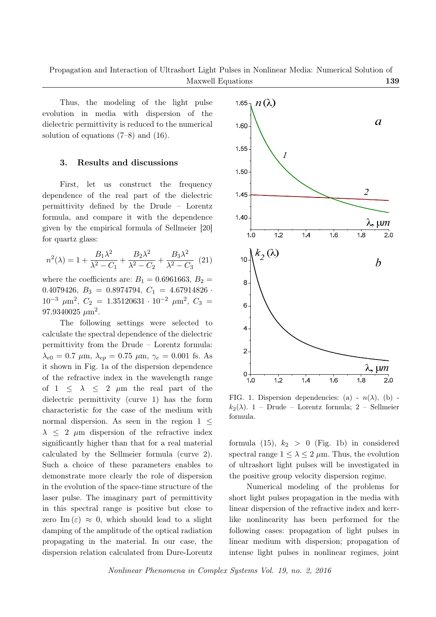Thus, the modeling of the light pulse evolution in media with dispersion of the dielectric permittivity is reduced to the numerical solution of equations (7–8) and (16).

#### 3. Results and discussions

First, let us construct the frequency dependence of the real part of the dielectric permittivity defined by the Drude – Lorentz formula, and compare it with the dependence given by the empirical formula of Sellmeier [20] for quartz glass:

$$
n^{2}(\lambda) = 1 + \frac{B_{1}\lambda^{2}}{\lambda^{2} - C_{1}} + \frac{B_{2}\lambda^{2}}{\lambda^{2} - C_{2}} + \frac{B_{3}\lambda^{2}}{\lambda^{2} - C_{3}} \tag{21}
$$

where the coefficients are:  $B_1 = 0.6961663, B_2 =$ 0.4079426,  $B_3 = 0.8974794$ ,  $C_1 = 4.67914826$  $10^{-3}$   $\mu$ m<sup>2</sup>,  $C_2$  = 1.35120631 ·  $10^{-2}$   $\mu$ m<sup>2</sup>,  $C_3$  =  $97.9340025 \ \mu \text{m}^2$ .

The following settings were selected to calculate the spectral dependence of the dielectric permittivity from the Drude – Lorentz formula:  $λ_{e0} = 0.7 \mu$ m,  $λ_{ep} = 0.75 \mu$ m,  $γ_e = 0.001$  fs. As it shown in Fig. 1a of the dispersion dependence of the refractive index in the wavelength range of  $1 \leq \lambda \leq 2 \mu m$  the real part of the dielectric permittivity (curve 1) has the form characteristic for the case of the medium with normal dispersion. As seen in the region 1 *≤ λ ≤* 2 *µ*m dispersion of the refractive index significantly higher than that for a real material calculated by the Sellmeier formula (curve 2). Such a choice of these parameters enables to demonstrate more clearly the role of dispersion in the evolution of the space-time structure of the laser pulse. The imaginary part of permittivity in this spectral range is positive but close to zero Im  $(\varepsilon) \approx 0$ , which should lead to a slight damping of the amplitude of the optical radiation propagating in the material. In our case, the dispersion relation calculated from Dure-Lorentz



FIG. 1. Dispersion dependencies: (a) -  $n(\lambda)$ , (b)  $k_2(\lambda)$ . 1 – Drude – Lorentz formula: 2 – Sellmeier formula.

formula  $(15)$ ,  $k_2 > 0$  (Fig. 1b) in considered spectral range  $1 \leq \lambda \leq 2 \mu m$ . Thus, the evolution of ultrashort light pulses will be investigated in the positive group velocity dispersion regime.

Numerical modeling of the problems for short light pulses propagation in the media with linear dispersion of the refractive index and kerrlike nonlinearity has been performed for the following cases: propagation of light pulses in linear medium with dispersion; propagation of intense light pulses in nonlinear regimes, joint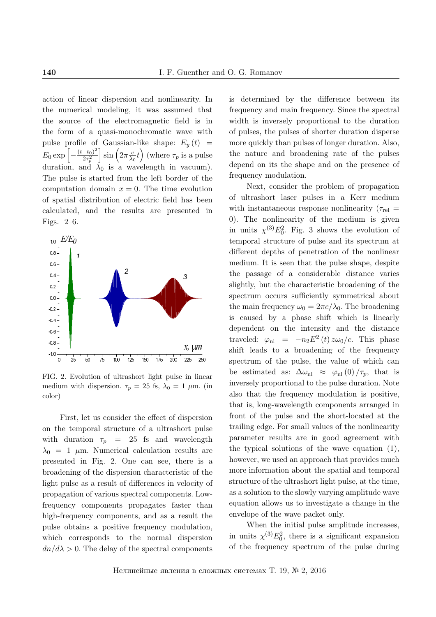action of linear dispersion and nonlinearity. In the numerical modeling, it was assumed that the source of the electromagnetic field is in the form of a quasi-monochromatic wave with pulse profile of Gaussian-like shape:  $E_y(t)$  =  $E_0 \exp \left[-\frac{(t-t_0)^2}{2\tau_p^2}\right]$  $\overline{2\tau_p^2}$  $\sin \left( 2\pi \frac{c}{\lambda} \right)$  $\left(\frac{c}{\lambda_0}t\right)$  (where  $\tau_p$  is a pulse duration, and  $\lambda_0$  is a wavelength in vacuum). The pulse is started from the left border of the computation domain  $x = 0$ . The time evolution of spatial distribution of electric field has been calculated, and the results are presented in Figs. 2–6.



FIG. 2. Evolution of ultrashort light pulse in linear medium with dispersion.  $\tau_p = 25$  fs,  $\lambda_0 = 1 \mu$ m. (in color)

First, let us consider the effect of dispersion on the temporal structure of a ultrashort pulse with duration  $\tau_p$  = 25 fs and wavelength  $\lambda_0 = 1$   $\mu$ m. Numerical calculation results are presented in Fig. 2. One can see, there is a broadening of the dispersion characteristic of the light pulse as a result of differences in velocity of propagation of various spectral components. Lowfrequency components propagates faster than high-frequency components, and as a result the pulse obtains a positive frequency modulation, which corresponds to the normal dispersion  $dn/d\lambda > 0$ . The delay of the spectral components

is determined by the difference between its frequency and main frequency. Since the spectral width is inversely proportional to the duration of pulses, the pulses of shorter duration disperse more quickly than pulses of longer duration. Also, the nature and broadening rate of the pulses depend on its the shape and on the presence of frequency modulation.

Next, consider the problem of propagation of ultrashort laser pulses in a Kerr medium with instantaneous response nonlinearity  $(\tau_{rel} =$ 0). The nonlinearity of the medium is given in units  $\chi^{(3)}E_0^2$ . Fig. 3 shows the evolution of temporal structure of pulse and its spectrum at different depths of penetration of the nonlinear medium. It is seen that the pulse shape, despite the passage of a considerable distance varies slightly, but the characteristic broadening of the spectrum occurs sufficiently symmetrical about the main frequency  $\omega_0 = 2\pi c/\lambda_0$ . The broadening is caused by a phase shift which is linearly dependent on the intensity and the distance traveled:  $\varphi_{\text{nl}} = -n_2 E^2(t) z \omega_0/c$ . This phase shift leads to a broadening of the frequency spectrum of the pulse, the value of which can be estimated as:  $\Delta \omega_{\text{nl}} \approx \varphi_{\text{nl}}(0)/\tau_p$ , that is inversely proportional to the pulse duration. Note also that the frequency modulation is positive, that is, long-wavelength components arranged in front of the pulse and the short-located at the trailing edge. For small values of the nonlinearity parameter results are in good agreement with the typical solutions of the wave equation (1), however, we used an approach that provides much more information about the spatial and temporal structure of the ultrashort light pulse, at the time, as a solution to the slowly varying amplitude wave equation allows us to investigate a change in the envelope of the wave packet only.

When the initial pulse amplitude increases, in units  $\chi^{(3)}E_0^2$ , there is a significant expansion of the frequency spectrum of the pulse during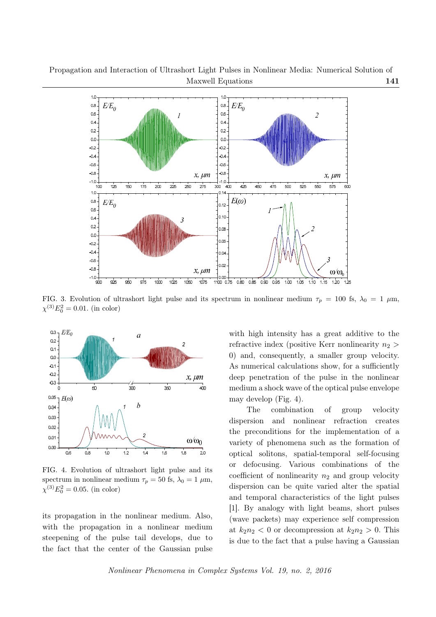Propagation and Interaction of Ultrashort Light Pulses in Nonlinear Media: Numerical Solution of Maxwell Equations 141



FIG. 3. Evolution of ultrashort light pulse and its spectrum in nonlinear medium  $\tau_p = 100$  fs,  $\lambda_0 = 1 \mu m$ ,  $\chi^{(3)}E_0^2 = 0.01$ . (in color)



FIG. 4. Evolution of ultrashort light pulse and its spectrum in nonlinear medium  $\tau_p = 50$  fs,  $\lambda_0 = 1 \mu$ m,  $\chi^{(3)}E_0^2 = 0.05$ . (in color)

its propagation in the nonlinear medium. Also, with the propagation in a nonlinear medium steepening of the pulse tail develops, due to the fact that the center of the Gaussian pulse with high intensity has a great additive to the refractive index (positive Kerr nonlinearity *n*<sup>2</sup> *>* 0) and, consequently, a smaller group velocity. As numerical calculations show, for a sufficiently deep penetration of the pulse in the nonlinear medium a shock wave of the optical pulse envelope may develop (Fig. 4).

The combination of group velocity dispersion and nonlinear refraction creates the preconditions for the implementation of a variety of phenomena such as the formation of optical solitons, spatial-temporal self-focusing or defocusing. Various combinations of the coefficient of nonlinearity  $n_2$  and group velocity dispersion can be quite varied alter the spatial and temporal characteristics of the light pulses [1]. By analogy with light beams, short pulses (wave packets) may experience self compression at  $k_2n_2 < 0$  or decompression at  $k_2n_2 > 0$ . This is due to the fact that a pulse having a Gaussian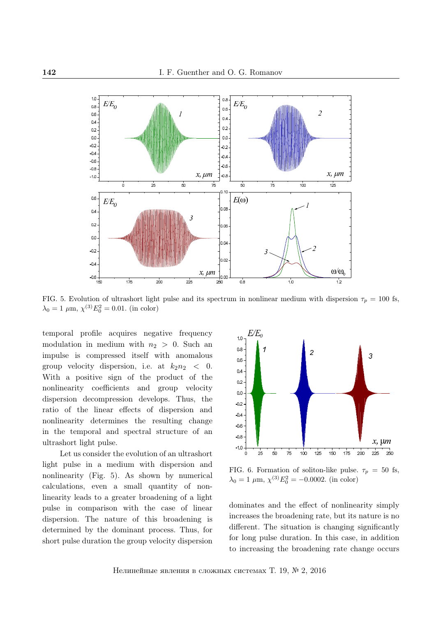

FIG. 5. Evolution of ultrashort light pulse and its spectrum in nonlinear medium with dispersion  $\tau_p = 100$  fs,  $\lambda_0 = 1 \ \mu \text{m}, \ \chi^{(3)} E_0^2 = 0.01. \text{ (in color)}$ 

temporal profile acquires negative frequency modulation in medium with  $n_2 > 0$ . Such an impulse is compressed itself with anomalous group velocity dispersion, i.e. at  $k_2n_2 < 0$ . With a positive sign of the product of the nonlinearity coefficients and group velocity dispersion decompression develops. Thus, the ratio of the linear effects of dispersion and nonlinearity determines the resulting change in the temporal and spectral structure of an ultrashort light pulse.

Let us consider the evolution of an ultrashort light pulse in a medium with dispersion and nonlinearity (Fig. 5). As shown by numerical calculations, even a small quantity of nonlinearity leads to a greater broadening of a light pulse in comparison with the case of linear dispersion. The nature of this broadening is determined by the dominant process. Thus, for short pulse duration the group velocity dispersion



FIG. 6. Formation of soliton-like pulse.  $\tau_p = 50$  fs,  $\lambda_0 = 1 \mu \text{m}, \chi^{(3)} E_0^2 = -0.0002. \text{ (in color)}$ 

dominates and the effect of nonlinearity simply increases the broadening rate, but its nature is no different. The situation is changing significantly for long pulse duration. In this case, in addition to increasing the broadening rate change occurs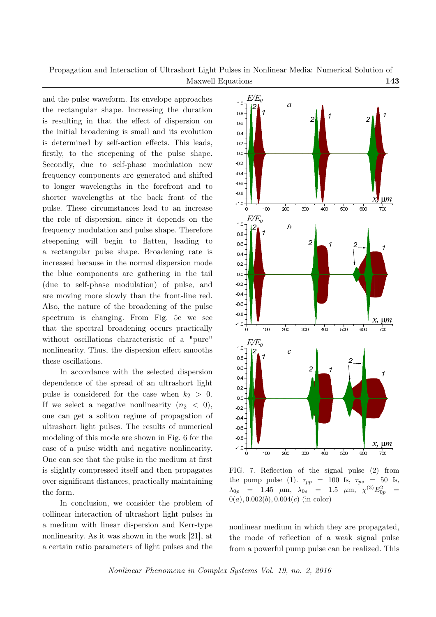Propagation and Interaction of Ultrashort Light Pulses in Nonlinear Media: Numerical Solution of Maxwell Equations 143

and the pulse waveform. Its envelope approaches the rectangular shape. Increasing the duration is resulting in that the effect of dispersion on the initial broadening is small and its evolution is determined by self-action effects. This leads, firstly, to the steepening of the pulse shape. Secondly, due to self-phase modulation new frequency components are generated and shifted to longer wavelengths in the forefront and to shorter wavelengths at the back front of the pulse. These circumstances lead to an increase the role of dispersion, since it depends on the frequency modulation and pulse shape. Therefore steepening will begin to flatten, leading to a rectangular pulse shape. Broadening rate is increased because in the normal dispersion mode the blue components are gathering in the tail (due to self-phase modulation) of pulse, and are moving more slowly than the front-line red. Also, the nature of the broadening of the pulse spectrum is changing. From Fig. 5c we see that the spectral broadening occurs practically without oscillations characteristic of a "pure" nonlinearity. Thus, the dispersion effect smooths these oscillations.

In accordance with the selected dispersion dependence of the spread of an ultrashort light pulse is considered for the case when  $k_2 > 0$ . If we select a negative nonlinearity  $(n_2 < 0)$ , one can get a soliton regime of propagation of ultrashort light pulses. The results of numerical modeling of this mode are shown in Fig. 6 for the case of a pulse width and negative nonlinearity. One can see that the pulse in the medium at first is slightly compressed itself and then propagates over significant distances, practically maintaining the form.

In conclusion, we consider the problem of collinear interaction of ultrashort light pulses in a medium with linear dispersion and Kerr-type nonlinearity. As it was shown in the work [21], at a certain ratio parameters of light pulses and the



FIG. 7. Reflection of the signal pulse (2) from the pump pulse (1).  $\tau_{pp}$  = 100 fs,  $\tau_{ps}$  = 50 fs,  $\lambda_{0p}$  = 1.45  $\mu$ m,  $\lambda_{0s}$  = 1.5  $\mu$ m,  $\chi^{(3)}E_{0p}^2$  =  $0(a)$ ,  $0.002(b)$ ,  $0.004(c)$  (in color)

nonlinear medium in which they are propagated, the mode of reflection of a weak signal pulse from a powerful pump pulse can be realized. This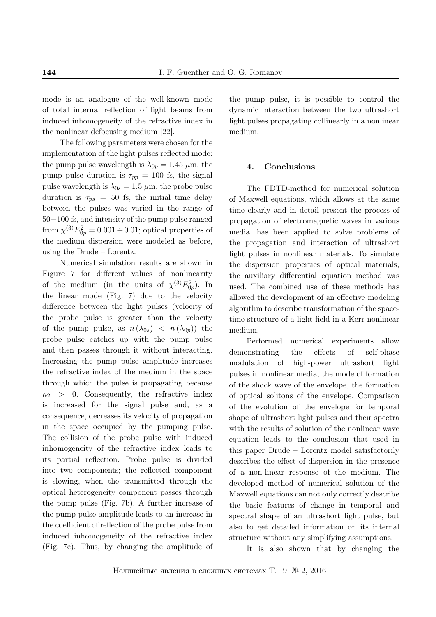mode is an analogue of the well-known mode of total internal reflection of light beams from induced inhomogeneity of the refractive index in the nonlinear defocusing medium [22].

The following parameters were chosen for the implementation of the light pulses reflected mode: the pump pulse wavelength is  $\lambda_{0p} = 1.45 \mu m$ , the pump pulse duration is  $\tau_{pp} = 100$  fs, the signal pulse wavelength is  $\lambda_{0s} = 1.5 \mu m$ , the probe pulse duration is  $\tau_{ps}$  = 50 fs, the initial time delay between the pulses was varied in the range of 50*−*100 fs, and intensity of the pump pulse ranged from  $\chi^{(3)}E_{0p}^2 = 0.001 \div 0.01$ ; optical properties of the medium dispersion were modeled as before, using the Drude – Lorentz.

Numerical simulation results are shown in Figure 7 for different values of nonlinearity of the medium (in the units of  $\chi^{(3)}E_{0p}^2$ ). In the linear mode (Fig. 7) due to the velocity difference between the light pulses (velocity of the probe pulse is greater than the velocity of the pump pulse, as  $n(\lambda_{0s}) < n(\lambda_{0p})$  the probe pulse catches up with the pump pulse and then passes through it without interacting. Increasing the pump pulse amplitude increases the refractive index of the medium in the space through which the pulse is propagating because  $n_2$  > 0. Consequently, the refractive index is increased for the signal pulse and, as a consequence, decreases its velocity of propagation in the space occupied by the pumping pulse. The collision of the probe pulse with induced inhomogeneity of the refractive index leads to its partial reflection. Probe pulse is divided into two components; the reflected component is slowing, when the transmitted through the optical heterogeneity component passes through the pump pulse (Fig. 7b). A further increase of the pump pulse amplitude leads to an increase in the coefficient of reflection of the probe pulse from induced inhomogeneity of the refractive index (Fig. 7c). Thus, by changing the amplitude of the pump pulse, it is possible to control the dynamic interaction between the two ultrashort light pulses propagating collinearly in a nonlinear medium.

#### 4. Conclusions

The FDTD-method for numerical solution of Maxwell equations, which allows at the same time clearly and in detail present the process of propagation of electromagnetic waves in various media, has been applied to solve problems of the propagation and interaction of ultrashort light pulses in nonlinear materials. To simulate the dispersion properties of optical materials, the auxiliary differential equation method was used. The combined use of these methods has allowed the development of an effective modeling algorithm to describe transformation of the spacetime structure of a light field in a Kerr nonlinear medium.

Performed numerical experiments allow demonstrating the effects of self-phase modulation of high-power ultrashort light pulses in nonlinear media, the mode of formation of the shock wave of the envelope, the formation of optical solitons of the envelope. Comparison of the evolution of the envelope for temporal shape of ultrashort light pulses and their spectra with the results of solution of the nonlinear wave equation leads to the conclusion that used in this paper Drude – Lorentz model satisfactorily describes the effect of dispersion in the presence of a non-linear response of the medium. The developed method of numerical solution of the Maxwell equations can not only correctly describe the basic features of change in temporal and spectral shape of an ultrashort light pulse, but also to get detailed information on its internal structure without any simplifying assumptions.

It is also shown that by changing the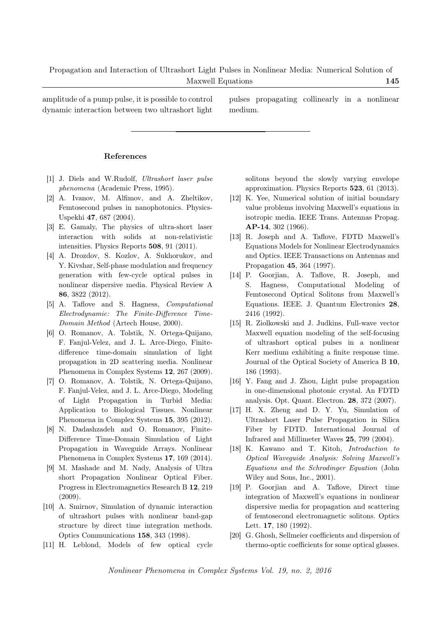amplitude of a pump pulse, it is possible to control dynamic interaction between two ultrashort light pulses propagating collinearly in a nonlinear medium.

#### References

- [1] J. Diels and W.Rudolf, *Ultrashort laser pulse phenomena* (Academic Press, 1995).
- [2] A. Ivanov, M. Alfimov, and A. Zheltikov, Femtosecond pulses in nanophotonics. Physics-Uspekhi 47, 687 (2004).
- [3] E. Gamaly, The physics of ultra-short laser interaction with solids at non-relativistic intensities. Physics Reports 508, 91 (2011).
- [4] A. Drozdov, S. Kozlov, A. Sukhorukov, and Y. Kivshar, Self-phase modulation and frequency generation with few-cycle optical pulses in nonlinear dispersive media. Physical Review A 86, 3822 (2012).
- [5] A. Taflove and S. Hagness, *Computational Electrodynamic: The Finite-Difference Time-Domain Method* (Artech House, 2000).
- [6] O. Romanov, A. Tolstik, N. Ortega-Quijano, F. Fanjul-Velez, and J. L. Arce-Diego, Finitedifference time-domain simulation of light propagation in 2D scattering media. Nonlinear Phenomena in Complex Systems 12, 267 (2009).
- [7] O. Romanov, A. Tolstik, N. Ortega-Quijano, F. Fanjul-Velez, and J. L. Arce-Diego, Modeling of Light Propagation in Turbid Media: Application to Biological Tissues. Nonlinear Phenomena in Complex Systems 15, 395 (2012).
- [8] N. Dadashzadeh and O. Romanov, Finite-Difference Time-Domain Simulation of Light Propagation in Waveguide Arrays. Nonlinear Phenomena in Complex Systems 17, 169 (2014).
- [9] M. Mashade and M. Nady, Analysis of Ultra short Propagation Nonlinear Optical Fiber. Progress in Electromagnetics Research B 12, 219 (2009).
- [10] A. Smirnov, Simulation of dynamic interaction of ultrashort pulses with nonlinear band-gap structure by direct time integration methods. Optics Communications 158, 343 (1998).
- [11] H. Leblond, Models of few optical cycle

solitons beyond the slowly varying envelope approximation. Physics Reports 523, 61 (2013).

- [12] K. Yee, Numerical solution of initial boundary value problems involving Maxwell's equations in isotropic media. IEEE Trans. Antennas Propag. AP-14, 302 (1966).
- [13] R. Joseph and A. Taflove, FDTD Maxwell's Equations Models for Nonlinear Electrodynamics and Optics. IEEE Transactions on Antennas and Propagation 45, 364 (1997).
- [14] P. Goorjian, A. Taflove, R. Joseph, and S. Hagness, Computational Modeling of Femtosecond Optical Solitons from Maxwell's Equations. IEEE. J. Quantum Electronics 28, 2416 (1992).
- [15] R. Ziolkowski and J. Judkins, Full-wave vector Maxwell equation modeling of the self-focusing of ultrashort optical pulses in a nonlinear Kerr medium exhibiting a finite response time. Journal of the Optical Society of America B 10, 186 (1993).
- [16] Y. Fang and J. Zhou, Light pulse propagation in one-dimensional photonic crystal. An FDTD analysis. Opt. Quant. Electron. 28, 372 (2007).
- [17] H. X. Zheng and D. Y. Yu, Simulation of Ultrashort Laser Pulse Propagation in Silica Fiber by FDTD. International Journal of Infrared and Millimeter Waves 25, 799 (2004).
- [18] K. Kawano and T. Kitoh, *Introduction to Optical Waveguide Analysis: Solving Maxwell's Equations and the Schrodinger Equation* (John Wiley and Sons, Inc., 2001).
- [19] P. Goorjian and A. Taflove, Direct time integration of Maxwell's equations in nonlinear dispersive media for propagation and scattering of femtosecond electromagnetic solitons. Optics Lett. 17, 180 (1992).
- [20] G. Ghosh, Sellmeier coefficients and dispersion of thermo-optic coefficients for some optical glasses.